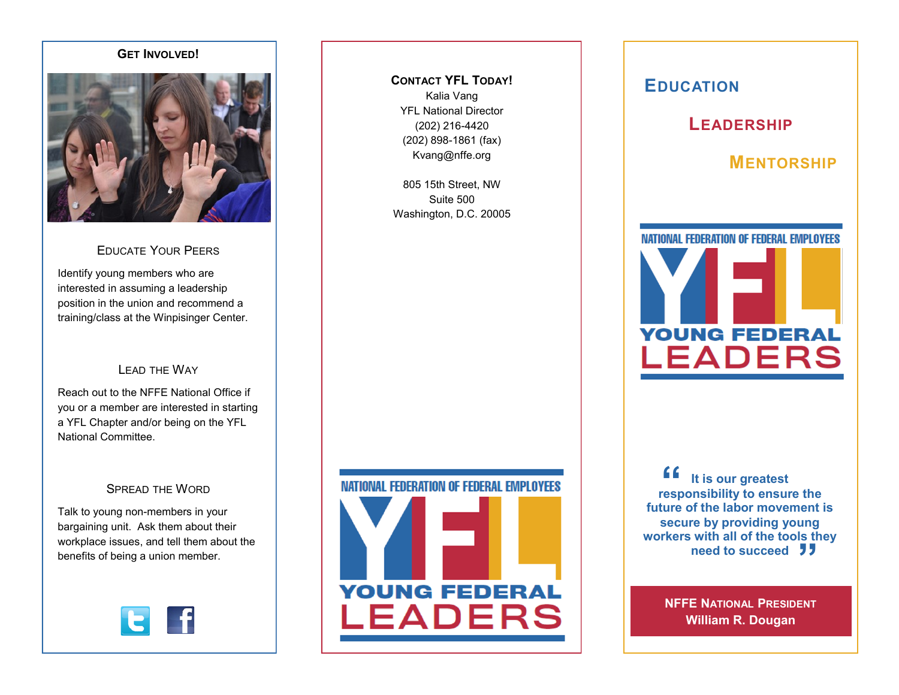### **GET INVOLVED!**



# EDUCATE YOUR PEERS

Identify young members who are interested in assuming a leadership position in the union and recommend a training/class at the Winpisinger Center.

## LEAD THE WAY

Reach out to the NFFE National Office if you or a member are interested in starting a YFL Chapter and/or being on the YFL National Committee.

## SPREAD THE WORD

Talk to young non-members in your bargaining unit. Ask them about their workplace issues, and tell them about the benefits of being a union member.



**CONTACT YFL TODAY!** Kalia Vang YFL National Director (202) 216-4420 (202) 898-1861 (fax) Kvang@nffe.org

805 15th Street, NW Suite 500 Washington, D.C. 20005



# **EDUCATION**



# **MENTORSHIP**



**f**<br> **f** It is our greatest<br>
responsibility to ensure the **Primate State Coolers**<br> **need to succeed It is our greatest future of the labor movement is secure by providing young workers with all of the tools they** 

> **NFFE NATIONAL PRESIDENT William R. Dougan**